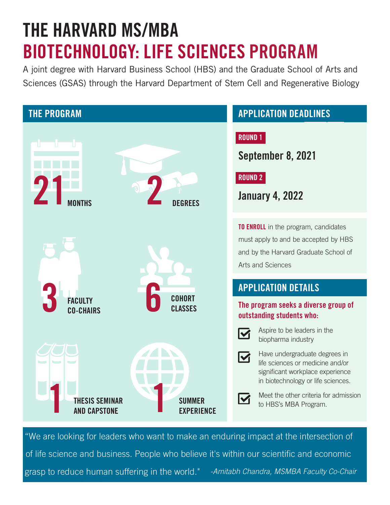# THE HARVARD MS/MBA BIOTECHNOLOGY: LIFE SCIENCES PROGRAM

A joint degree with Harvard Business School (HBS) and the Graduate School of Arts and Sciences (GSAS) through the Harvard Department of Stem Cell and Regenerative Biology



" We are looking for leaders who want to make an enduring impact at the intersection of of life science and business. People who believe it's within our scientific and economic grasp to reduce human suffering in the world." - Amitabh Chandra, MSMBA Faculty Co-Chair